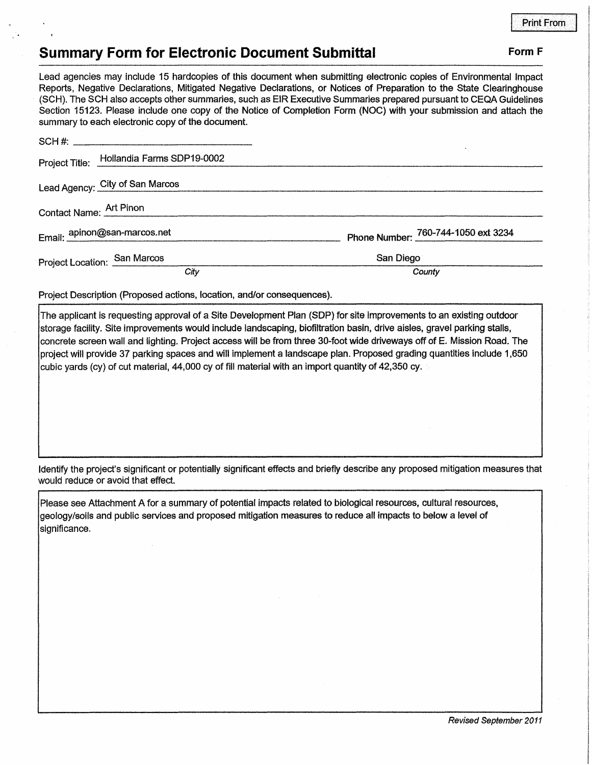## **Summary Form for Electronic Document Submittal Form F Form F**

Lead agencies may include 15 hardcopies of this document when submitting electronic copies of Environmental Impact Reports, Negative Declarations, Mitigated Negative Declarations, or Notices of Preparation to the State Clearinghouse (SCH). The SCH also accepts other summaries, such as EIR Executive Summaries prepared pursuant to CEQA Guidelines Section 15123. Please include one copy of the Notice of Completion Form (NOC) with your submission and attach the

| summary to each electronic copy of the document. |                                     |
|--------------------------------------------------|-------------------------------------|
|                                                  |                                     |
| Project Title: Hollandia Farms SDP19-0002        |                                     |
| Lead Agency: City of San Marcos                  |                                     |
| Contact Name: Art Pinon                          |                                     |
| Email: apinon@san-marcos.net                     | Phone Number: 760-744-1050 ext 3234 |
| Project Location: San Marcos                     | San Diego                           |
| City                                             | County                              |
|                                                  |                                     |

Project Description (Proposed actions, location, and/or consequences).

The applicant is requesting approval of a Site Development Plan (SOP) for site improvements to an existing outdoor storage facility. Site improvements would include landscaping, biofiltration basin, drive aisles, gravel parking stalls, concrete screen wall and lighting. Project access will be from three 30-foot wide driveways off of E. Mission Road. The projectwill provide 37 parking spaces and will implement a landscape plan. Proposed grading quantities include 1,650 cubic yards (cy) of cut material, 44,000 cy of fill material with an import quantity of 42,350 cy.

Identify the project's significant or potentially significant effects and briefly describe any proposed mitigation measures that would reduce or avoid that effect.

Please see Attachment A for a summary of potential impacts related to biological resources, cultural resources, geology/soils and public services and proposed mitigation measures to reduce all impacts to below a level of significance.